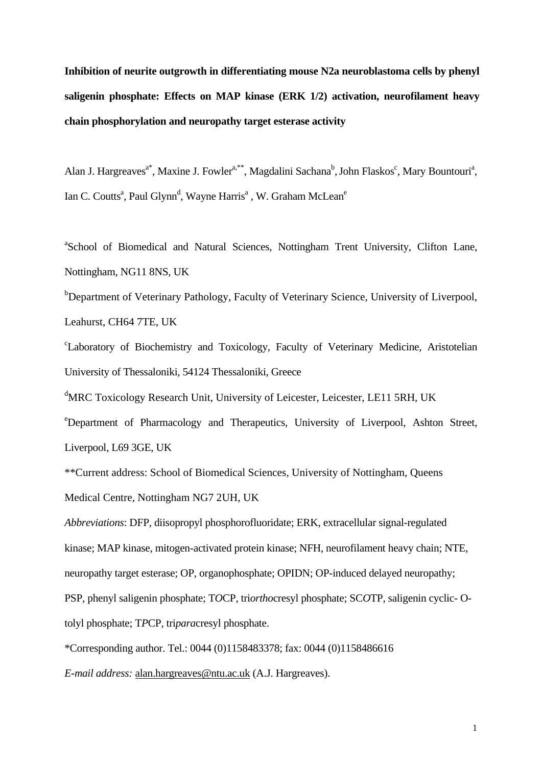**Inhibition of neurite outgrowth in differentiating mouse N2a neuroblastoma cells by phenyl saligenin phosphate: Effects on MAP kinase (ERK 1/2) activation, neurofilament heavy chain phosphorylation and neuropathy target esterase activity** 

Alan J. Hargreaves<sup>a\*</sup>, Maxine J. Fowler<sup>a,\*\*</sup>, Magdalini Sachana<sup>b</sup>, John Flaskos<sup>c</sup>, Mary Bountouri<sup>a</sup>, Ian C. Coutts<sup>a</sup>, Paul Glynn<sup>d</sup>, Wayne Harris<sup>a</sup>, W. Graham McLean<sup>e</sup>

<sup>a</sup>School of Biomedical and Natural Sciences, Nottingham Trent University, Clifton Lane, Nottingham, NG11 8NS, UK

<sup>b</sup>Department of Veterinary Pathology, Faculty of Veterinary Science, University of Liverpool, Leahurst, CH64 7TE, UK

c Laboratory of Biochemistry and Toxicology, Faculty of Veterinary Medicine, Aristotelian University of Thessaloniki, 54124 Thessaloniki, Greece

<sup>d</sup>MRC Toxicology Research Unit, University of Leicester, Leicester, LE11 5RH, UK

e Department of Pharmacology and Therapeutics, University of Liverpool, Ashton Street, Liverpool, L69 3GE, UK

\*\*Current address: School of Biomedical Sciences, University of Nottingham, Queens Medical Centre, Nottingham NG7 2UH, U[K](mailto:pcarey@cvm.okstate.edu)

*Abbreviations*: DFP, diisopropyl phosphorofluoridate; ERK, extracellular signal-regulated kinase; MAP kinase, mitogen-activated protein kinase; NFH, neurofilament heavy chain; NTE, neuropathy target esterase; OP, organophosphate; OPIDN; OP-induced delayed neuropathy; PSP, phenyl saligenin phosphate; T*O*CP, tri*ortho*cresyl phosphate; SC*O*TP, saligenin cyclic- Otolyl phosphate; T*P*CP, tri*para*cresyl phosphate.

\*Corresponding author. Tel.: 0044 (0)1158483378; fax: 0044 (0)1158486616

*E-mail address:* [alan.hargreaves@ntu.ac.uk](mailto:alan.hargreaves@ntu.ac.uk) (A.J. Hargreaves).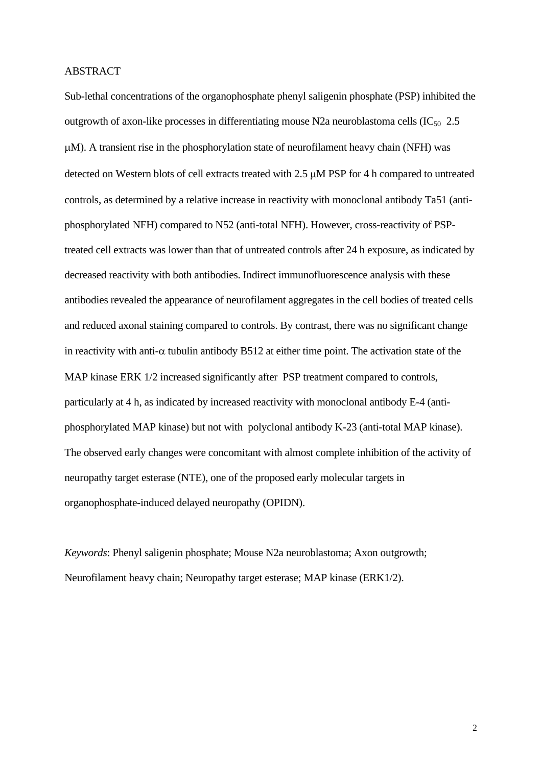## ABSTRACT

Sub-lethal concentrations of the organophosphate phenyl saligenin phosphate (PSP) inhibited the outgrowth of axon-like processes in differentiating mouse N2a neuroblastoma cells  $(IC_{50} 2.5)$ μM). A transient rise in the phosphorylation state of neurofilament heavy chain (NFH) was detected on Western blots of cell extracts treated with 2.5 μM PSP for 4 h compared to untreated controls, as determined by a relative increase in reactivity with monoclonal antibody Ta51 (antiphosphorylated NFH) compared to N52 (anti-total NFH). However, cross-reactivity of PSPtreated cell extracts was lower than that of untreated controls after 24 h exposure, as indicated by decreased reactivity with both antibodies. Indirect immunofluorescence analysis with these antibodies revealed the appearance of neurofilament aggregates in the cell bodies of treated cells and reduced axonal staining compared to controls. By contrast, there was no significant change in reactivity with anti- $\alpha$  tubulin antibody B512 at either time point. The activation state of the MAP kinase ERK 1/2 increased significantly after PSP treatment compared to controls, particularly at 4 h, as indicated by increased reactivity with monoclonal antibody E-4 (antiphosphorylated MAP kinase) but not with polyclonal antibody K-23 (anti-total MAP kinase). The observed early changes were concomitant with almost complete inhibition of the activity of neuropathy target esterase (NTE), one of the proposed early molecular targets in organophosphate-induced delayed neuropathy (OPIDN).

*Keywords*: Phenyl saligenin phosphate; Mouse N2a neuroblastoma; Axon outgrowth; Neurofilament heavy chain; Neuropathy target esterase; MAP kinase (ERK1/2).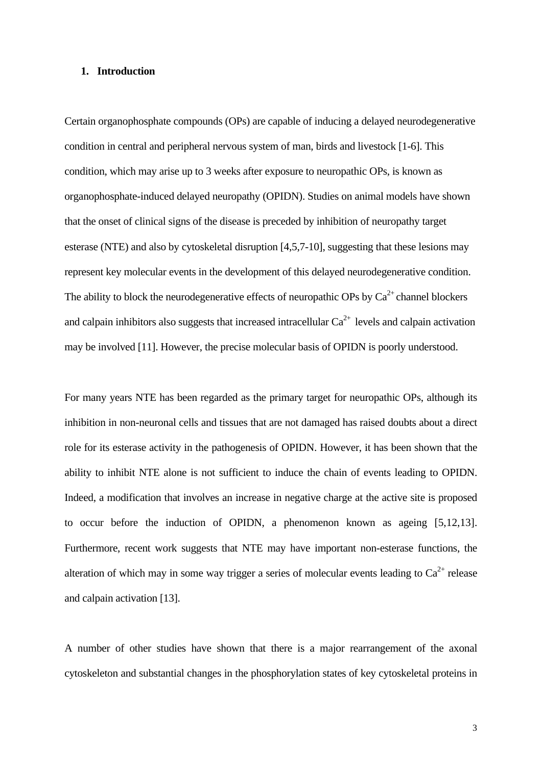## **1. Introduction**

Certain organophosphate compounds (OPs) are capable of inducing a delayed neurodegenerative condition in central and peripheral nervous system of man, birds and livestock [1-6]. This condition, which may arise up to 3 weeks after exposure to neuropathic OPs, is known as organophosphate-induced delayed neuropathy (OPIDN). Studies on animal models have shown that the onset of clinical signs of the disease is preceded by inhibition of neuropathy target esterase (NTE) and also by cytoskeletal disruption [4,5,7-10], suggesting that these lesions may represent key molecular events in the development of this delayed neurodegenerative condition. The ability to block the neurodegenerative effects of neuropathic OPs by  $Ca^{2+}$  channel blockers and calpain inhibitors also suggests that increased intracellular  $Ca^{2+}$  levels and calpain activation may be involved [11]. However, the precise molecular basis of OPIDN is poorly understood.

For many years NTE has been regarded as the primary target for neuropathic OPs, although its inhibition in non-neuronal cells and tissues that are not damaged has raised doubts about a direct role for its esterase activity in the pathogenesis of OPIDN. However, it has been shown that the ability to inhibit NTE alone is not sufficient to induce the chain of events leading to OPIDN. Indeed, a modification that involves an increase in negative charge at the active site is proposed to occur before the induction of OPIDN, a phenomenon known as ageing [5,12,13]. Furthermore, recent work suggests that NTE may have important non-esterase functions, the alteration of which may in some way trigger a series of molecular events leading to  $Ca^{2+}$  release and calpain activation [13].

A number of other studies have shown that there is a major rearrangement of the axonal cytoskeleton and substantial changes in the phosphorylation states of key cytoskeletal proteins in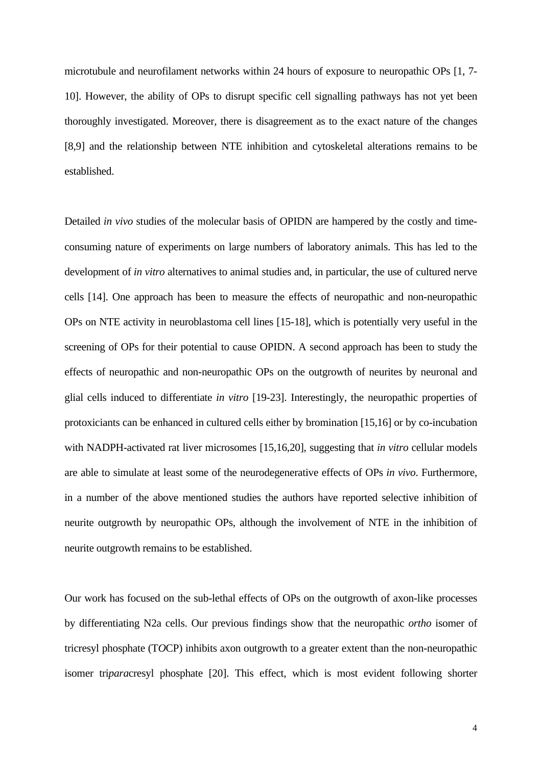microtubule and neurofilament networks within 24 hours of exposure to neuropathic OPs [1, 7- 10]. However, the ability of OPs to disrupt specific cell signalling pathways has not yet been thoroughly investigated. Moreover, there is disagreement as to the exact nature of the changes [8,9] and the relationship between NTE inhibition and cytoskeletal alterations remains to be established.

Detailed *in vivo* studies of the molecular basis of OPIDN are hampered by the costly and timeconsuming nature of experiments on large numbers of laboratory animals. This has led to the development of *in vitro* alternatives to animal studies and, in particular, the use of cultured nerve cells [14]. One approach has been to measure the effects of neuropathic and non-neuropathic OPs on NTE activity in neuroblastoma cell lines [15-18], which is potentially very useful in the screening of OPs for their potential to cause OPIDN. A second approach has been to study the effects of neuropathic and non-neuropathic OPs on the outgrowth of neurites by neuronal and glial cells induced to differentiate *in vitro* [19-23]. Interestingly, the neuropathic properties of protoxiciants can be enhanced in cultured cells either by bromination [15,16] or by co-incubation with NADPH-activated rat liver microsomes [15,16,20], suggesting that *in vitro* cellular models are able to simulate at least some of the neurodegenerative effects of OPs *in vivo*. Furthermore, in a number of the above mentioned studies the authors have reported selective inhibition of neurite outgrowth by neuropathic OPs, although the involvement of NTE in the inhibition of neurite outgrowth remains to be established.

Our work has focused on the sub-lethal effects of OPs on the outgrowth of axon-like processes by differentiating N2a cells. Our previous findings show that the neuropathic *ortho* isomer of tricresyl phosphate (T*O*CP) inhibits axon outgrowth to a greater extent than the non-neuropathic isomer tri*para*cresyl phosphate [20]. This effect, which is most evident following shorter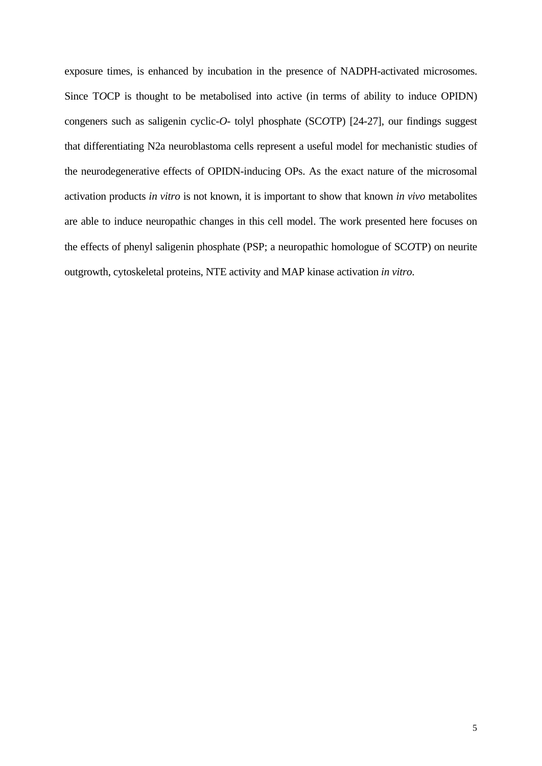exposure times, is enhanced by incubation in the presence of NADPH-activated microsomes. Since T*O*CP is thought to be metabolised into active (in terms of ability to induce OPIDN) congeners such as saligenin cyclic-*O*- tolyl phosphate (SC*O*TP) [24-27], our findings suggest that differentiating N2a neuroblastoma cells represent a useful model for mechanistic studies of the neurodegenerative effects of OPIDN-inducing OPs. As the exact nature of the microsomal activation products *in vitro* is not known, it is important to show that known *in vivo* metabolites are able to induce neuropathic changes in this cell model. The work presented here focuses on the effects of phenyl saligenin phosphate (PSP; a neuropathic homologue of SC*O*TP) on neurite outgrowth, cytoskeletal proteins, NTE activity and MAP kinase activation *in vitro*.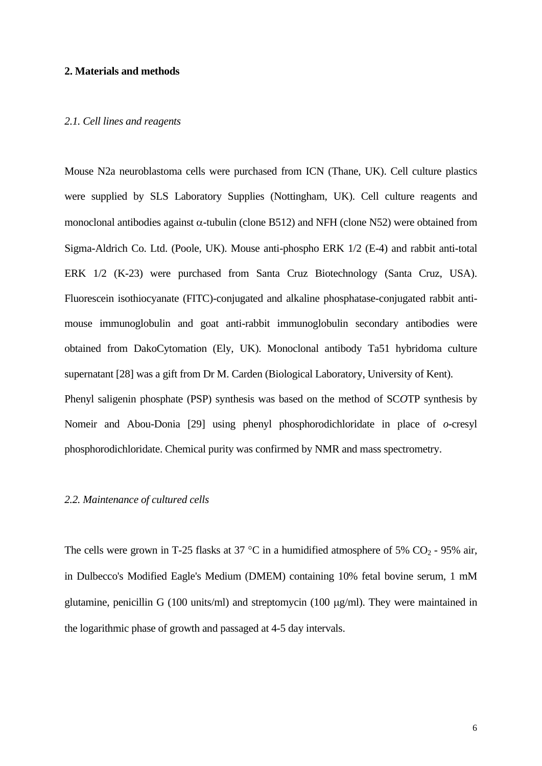## **2. Materials and methods**

### *2.1. Cell lines and reagents*

Mouse N2a neuroblastoma cells were purchased from ICN (Thane, UK). Cell culture plastics were supplied by SLS Laboratory Supplies (Nottingham, UK). Cell culture reagents and monoclonal antibodies against  $\alpha$ -tubulin (clone B512) and NFH (clone N52) were obtained from Sigma-Aldrich Co. Ltd. (Poole, UK). Mouse anti-phospho ERK 1/2 (E-4) and rabbit anti-total ERK 1/2 (K-23) were purchased from Santa Cruz Biotechnology (Santa Cruz, USA). Fluorescein isothiocyanate (FITC)-conjugated and alkaline phosphatase-conjugated rabbit antimouse immunoglobulin and goat anti-rabbit immunoglobulin secondary antibodies were obtained from DakoCytomation (Ely, UK). Monoclonal antibody Ta51 hybridoma culture supernatant [28] was a gift from Dr M. Carden (Biological Laboratory, University of Kent). Phenyl saligenin phosphate (PSP) synthesis was based on the method of SC*O*TP synthesis by Nomeir and Abou-Donia [29] using phenyl phosphorodichloridate in place of *o*-cresyl

phosphorodichloridate. Chemical purity was confirmed by NMR and mass spectrometry.

### *2.2. Maintenance of cultured cells*

The cells were grown in T-25 flasks at 37 °C in a humidified atmosphere of 5%  $CO_2$  - 95% air, in Dulbecco's Modified Eagle's Medium (DMEM) containing 10% fetal bovine serum, 1 mM glutamine, penicillin G (100 units/ml) and streptomycin (100 μg/ml). They were maintained in the logarithmic phase of growth and passaged at 4-5 day intervals.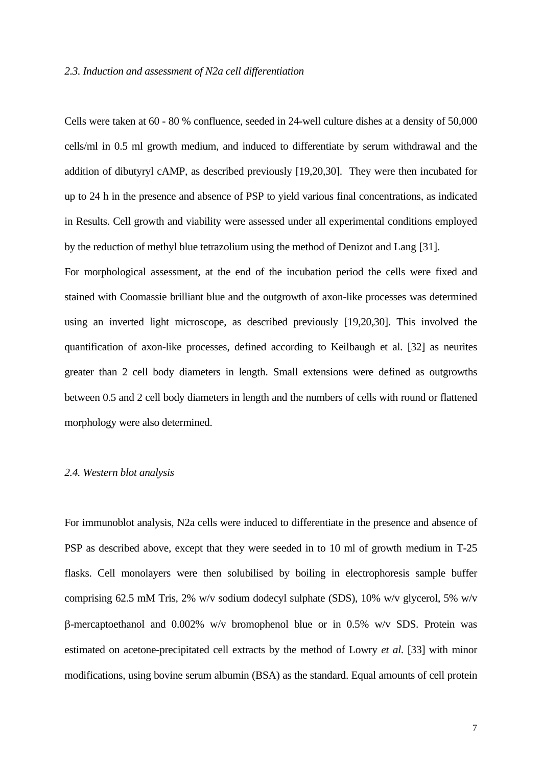#### *2.3. Induction and assessment of N2a cell differentiation*

Cells were taken at 60 - 80 % confluence, seeded in 24-well culture dishes at a density of 50,000 cells/ml in 0.5 ml growth medium, and induced to differentiate by serum withdrawal and the addition of dibutyryl cAMP, as described previously [19,20,30]. They were then incubated for up to 24 h in the presence and absence of PSP to yield various final concentrations, as indicated in Results. Cell growth and viability were assessed under all experimental conditions employed by the reduction of methyl blue tetrazolium using the method of Denizot and Lang [31].

For morphological assessment, at the end of the incubation period the cells were fixed and stained with Coomassie brilliant blue and the outgrowth of axon-like processes was determined using an inverted light microscope, as described previously [19,20,30]. This involved the quantification of axon-like processes, defined according to Keilbaugh et al. [32] as neurites greater than 2 cell body diameters in length. Small extensions were defined as outgrowths between 0.5 and 2 cell body diameters in length and the numbers of cells with round or flattened morphology were also determined.

### *2.4. Western blot analysis*

For immunoblot analysis, N2a cells were induced to differentiate in the presence and absence of PSP as described above, except that they were seeded in to 10 ml of growth medium in T-25 flasks. Cell monolayers were then solubilised by boiling in electrophoresis sample buffer comprising 62.5 mM Tris, 2% w/v sodium dodecyl sulphate (SDS), 10% w/v glycerol, 5% w/v β-mercaptoethanol and 0.002% w/v bromophenol blue or in 0.5% w/v SDS. Protein was estimated on acetone-precipitated cell extracts by the method of Lowry *et al*. [33] with minor modifications, using bovine serum albumin (BSA) as the standard. Equal amounts of cell protein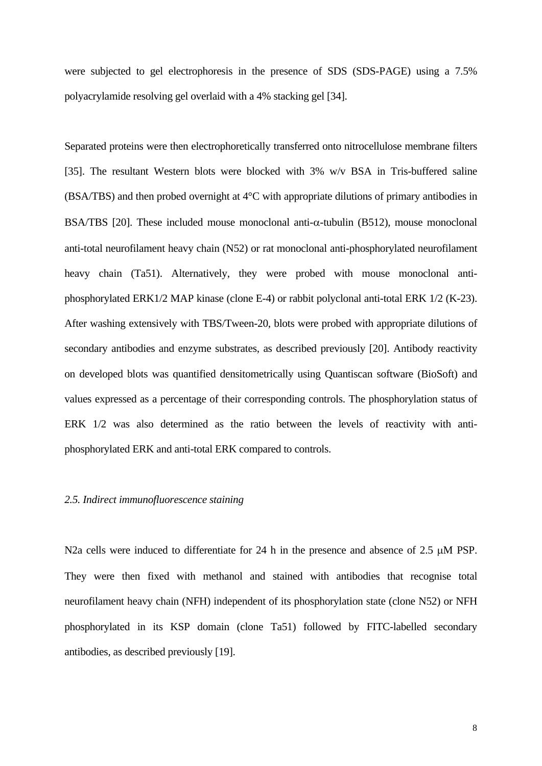were subjected to gel electrophoresis in the presence of SDS (SDS-PAGE) using a 7.5% polyacrylamide resolving gel overlaid with a 4% stacking gel [34].

Separated proteins were then electrophoretically transferred onto nitrocellulose membrane filters [35]. The resultant Western blots were blocked with 3% w/v BSA in Tris-buffered saline (BSA/TBS) and then probed overnight at 4°C with appropriate dilutions of primary antibodies in BSA/TBS [20]. These included mouse monoclonal anti-α-tubulin (B512), mouse monoclonal anti-total neurofilament heavy chain (N52) or rat monoclonal anti-phosphorylated neurofilament heavy chain (Ta51). Alternatively, they were probed with mouse monoclonal antiphosphorylated ERK1/2 MAP kinase (clone E-4) or rabbit polyclonal anti-total ERK 1/2 (K-23). After washing extensively with TBS/Tween-20, blots were probed with appropriate dilutions of secondary antibodies and enzyme substrates, as described previously [20]. Antibody reactivity on developed blots was quantified densitometrically using Quantiscan software (BioSoft) and values expressed as a percentage of their corresponding controls. The phosphorylation status of ERK 1/2 was also determined as the ratio between the levels of reactivity with antiphosphorylated ERK and anti-total ERK compared to controls.

## *2.5. Indirect immunofluorescence staining*

N2a cells were induced to differentiate for 24 h in the presence and absence of 2.5 μM PSP. They were then fixed with methanol and stained with antibodies that recognise total neurofilament heavy chain (NFH) independent of its phosphorylation state (clone N52) or NFH phosphorylated in its KSP domain (clone Ta51) followed by FITC-labelled secondary antibodies, as described previously [19].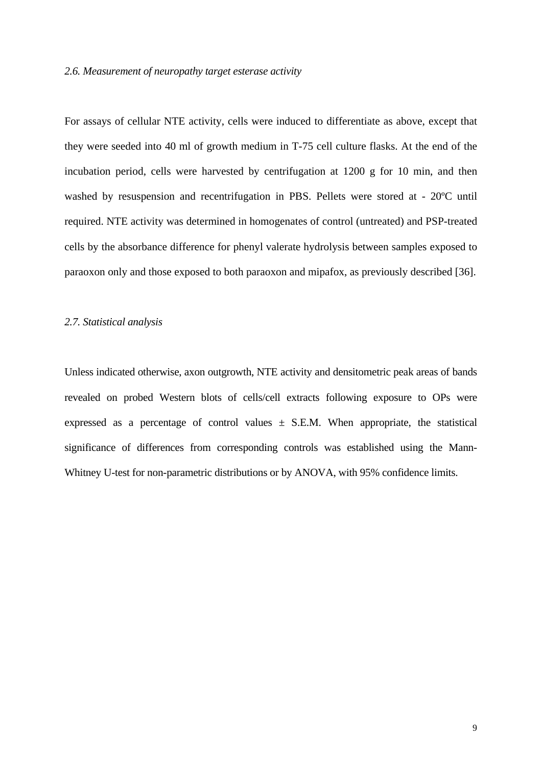#### *2.6. Measurement of neuropathy target esterase activity*

For assays of cellular NTE activity, cells were induced to differentiate as above, except that they were seeded into 40 ml of growth medium in T-75 cell culture flasks. At the end of the incubation period, cells were harvested by centrifugation at 1200 g for 10 min, and then washed by resuspension and recentrifugation in PBS. Pellets were stored at - 20ºC until required. NTE activity was determined in homogenates of control (untreated) and PSP-treated cells by the absorbance difference for phenyl valerate hydrolysis between samples exposed to paraoxon only and those exposed to both paraoxon and mipafox, as previously described [36].

#### *2.7. Statistical analysis*

Unless indicated otherwise, axon outgrowth, NTE activity and densitometric peak areas of bands revealed on probed Western blots of cells/cell extracts following exposure to OPs were expressed as a percentage of control values  $\pm$  S.E.M. When appropriate, the statistical significance of differences from corresponding controls was established using the Mann-Whitney U-test for non-parametric distributions or by ANOVA, with 95% confidence limits.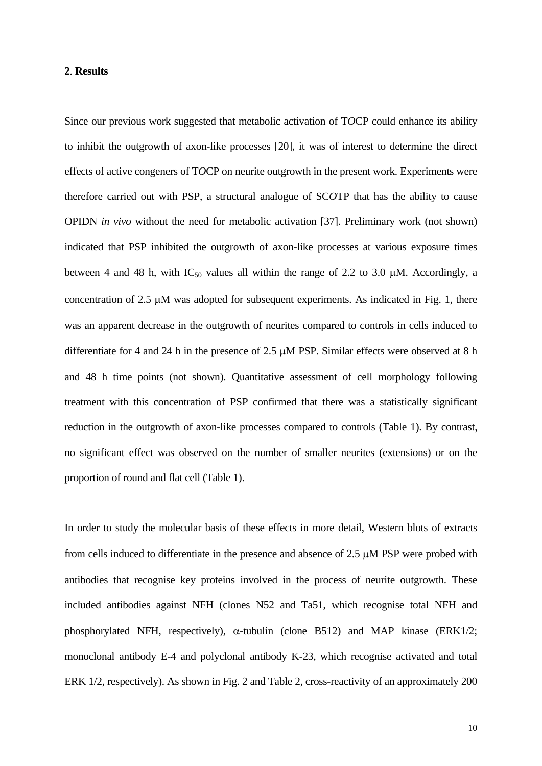## **2**. **Results**

Since our previous work suggested that metabolic activation of T*O*CP could enhance its ability to inhibit the outgrowth of axon-like processes [20], it was of interest to determine the direct effects of active congeners of T*O*CP on neurite outgrowth in the present work. Experiments were therefore carried out with PSP, a structural analogue of SC*O*TP that has the ability to cause OPIDN *in vivo* without the need for metabolic activation [37]. Preliminary work (not shown) indicated that PSP inhibited the outgrowth of axon-like processes at various exposure times between 4 and 48 h, with  $IC_{50}$  values all within the range of 2.2 to 3.0  $\mu$ M. Accordingly, a concentration of 2.5 μM was adopted for subsequent experiments. As indicated in Fig. 1, there was an apparent decrease in the outgrowth of neurites compared to controls in cells induced to differentiate for 4 and 24 h in the presence of 2.5 μM PSP. Similar effects were observed at 8 h and 48 h time points (not shown). Quantitative assessment of cell morphology following treatment with this concentration of PSP confirmed that there was a statistically significant reduction in the outgrowth of axon-like processes compared to controls (Table 1). By contrast, no significant effect was observed on the number of smaller neurites (extensions) or on the proportion of round and flat cell (Table 1).

In order to study the molecular basis of these effects in more detail, Western blots of extracts from cells induced to differentiate in the presence and absence of 2.5 μM PSP were probed with antibodies that recognise key proteins involved in the process of neurite outgrowth. These included antibodies against NFH (clones N52 and Ta51, which recognise total NFH and phosphorylated NFH, respectively),  $\alpha$ -tubulin (clone B512) and MAP kinase (ERK1/2; monoclonal antibody E-4 and polyclonal antibody K-23, which recognise activated and total ERK 1/2, respectively). As shown in Fig. 2 and Table 2, cross-reactivity of an approximately 200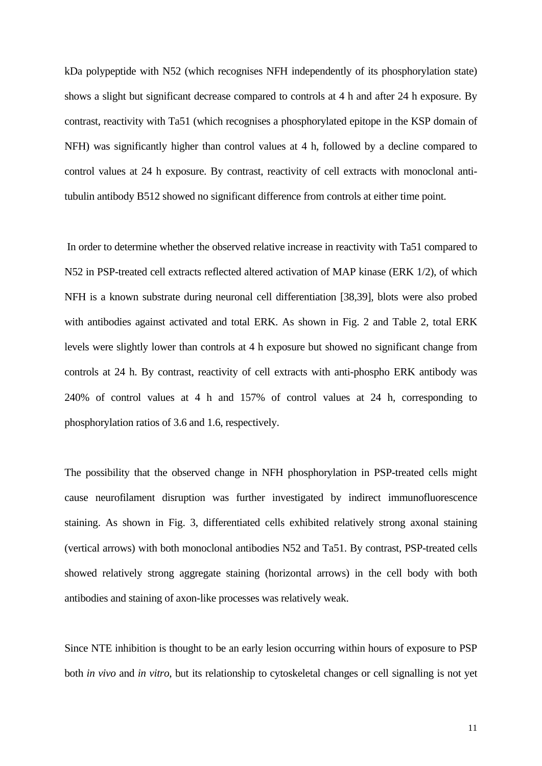kDa polypeptide with N52 (which recognises NFH independently of its phosphorylation state) shows a slight but significant decrease compared to controls at 4 h and after 24 h exposure. By contrast, reactivity with Ta51 (which recognises a phosphorylated epitope in the KSP domain of NFH) was significantly higher than control values at 4 h, followed by a decline compared to control values at 24 h exposure. By contrast, reactivity of cell extracts with monoclonal antitubulin antibody B512 showed no significant difference from controls at either time point.

 In order to determine whether the observed relative increase in reactivity with Ta51 compared to N52 in PSP-treated cell extracts reflected altered activation of MAP kinase (ERK 1/2), of which NFH is a known substrate during neuronal cell differentiation [38,39], blots were also probed with antibodies against activated and total ERK. As shown in Fig. 2 and Table 2, total ERK levels were slightly lower than controls at 4 h exposure but showed no significant change from controls at 24 h. By contrast, reactivity of cell extracts with anti-phospho ERK antibody was 240% of control values at 4 h and 157% of control values at 24 h, corresponding to phosphorylation ratios of 3.6 and 1.6, respectively.

The possibility that the observed change in NFH phosphorylation in PSP-treated cells might cause neurofilament disruption was further investigated by indirect immunofluorescence staining. As shown in Fig. 3, differentiated cells exhibited relatively strong axonal staining (vertical arrows) with both monoclonal antibodies N52 and Ta51. By contrast, PSP-treated cells showed relatively strong aggregate staining (horizontal arrows) in the cell body with both antibodies and staining of axon-like processes was relatively weak.

Since NTE inhibition is thought to be an early lesion occurring within hours of exposure to PSP both *in vivo* and *in vitro*, but its relationship to cytoskeletal changes or cell signalling is not yet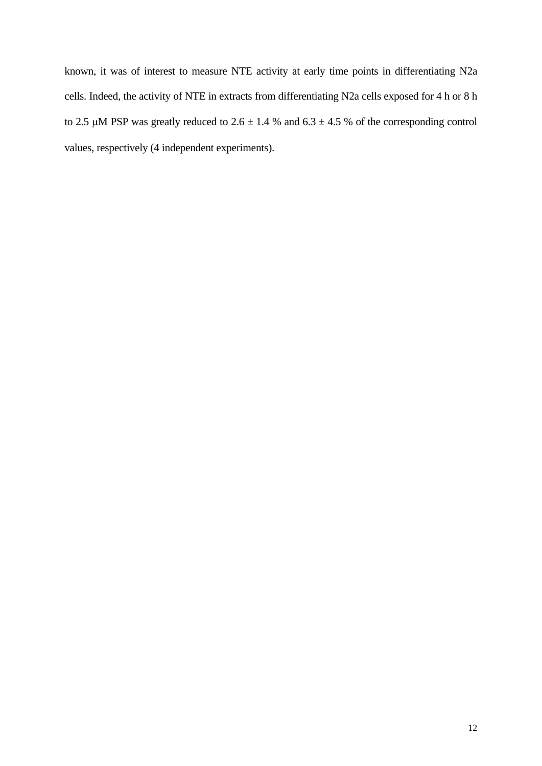known, it was of interest to measure NTE activity at early time points in differentiating N2a cells. Indeed, the activity of NTE in extracts from differentiating N2a cells exposed for 4 h or 8 h to 2.5  $\mu$ M PSP was greatly reduced to 2.6  $\pm$  1.4 % and 6.3  $\pm$  4.5 % of the corresponding control values, respectively (4 independent experiments).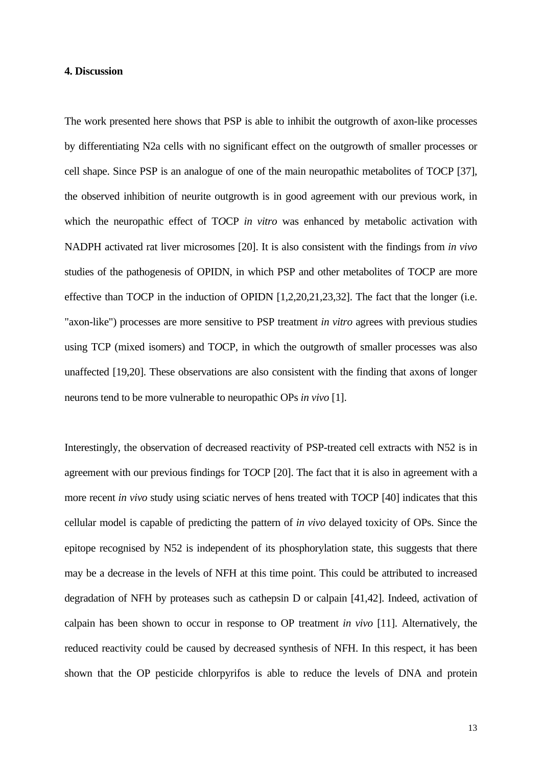## **4. Discussion**

The work presented here shows that PSP is able to inhibit the outgrowth of axon-like processes by differentiating N2a cells with no significant effect on the outgrowth of smaller processes or cell shape. Since PSP is an analogue of one of the main neuropathic metabolites of T*O*CP [37], the observed inhibition of neurite outgrowth is in good agreement with our previous work, in which the neuropathic effect of T*O*CP *in vitro* was enhanced by metabolic activation with NADPH activated rat liver microsomes [20]. It is also consistent with the findings from *in vivo* studies of the pathogenesis of OPIDN, in which PSP and other metabolites of T*O*CP are more effective than T*O*CP in the induction of OPIDN [1,2,20,21,23,32]. The fact that the longer (i.e. "axon-like") processes are more sensitive to PSP treatment *in vitro* agrees with previous studies using TCP (mixed isomers) and T*O*CP, in which the outgrowth of smaller processes was also unaffected [19,20]. These observations are also consistent with the finding that axons of longer neurons tend to be more vulnerable to neuropathic OPs *in vivo* [1].

Interestingly, the observation of decreased reactivity of PSP-treated cell extracts with N52 is in agreement with our previous findings for T*O*CP [20]. The fact that it is also in agreement with a more recent *in vivo* study using sciatic nerves of hens treated with T*O*CP [40] indicates that this cellular model is capable of predicting the pattern of *in vivo* delayed toxicity of OPs. Since the epitope recognised by N52 is independent of its phosphorylation state, this suggests that there may be a decrease in the levels of NFH at this time point. This could be attributed to increased degradation of NFH by proteases such as cathepsin D or calpain [41,42]. Indeed, activation of calpain has been shown to occur in response to OP treatment *in vivo* [11]. Alternatively, the reduced reactivity could be caused by decreased synthesis of NFH. In this respect, it has been shown that the OP pesticide chlorpyrifos is able to reduce the levels of DNA and protein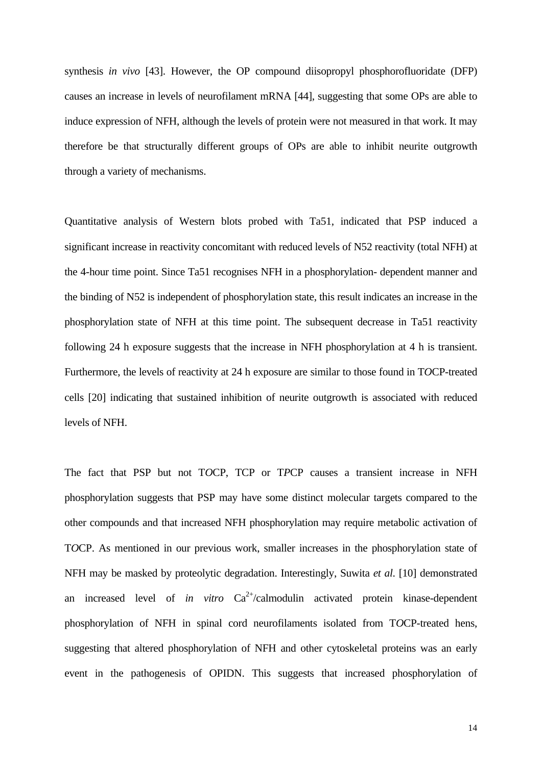synthesis *in vivo* [43]. However, the OP compound diisopropyl phosphorofluoridate (DFP) causes an increase in levels of neurofilament mRNA [44], suggesting that some OPs are able to induce expression of NFH, although the levels of protein were not measured in that work. It may therefore be that structurally different groups of OPs are able to inhibit neurite outgrowth through a variety of mechanisms.

Quantitative analysis of Western blots probed with Ta51, indicated that PSP induced a significant increase in reactivity concomitant with reduced levels of N52 reactivity (total NFH) at the 4-hour time point. Since Ta51 recognises NFH in a phosphorylation- dependent manner and the binding of N52 is independent of phosphorylation state, this result indicates an increase in the phosphorylation state of NFH at this time point. The subsequent decrease in Ta51 reactivity following 24 h exposure suggests that the increase in NFH phosphorylation at 4 h is transient. Furthermore, the levels of reactivity at 24 h exposure are similar to those found in T*O*CP-treated cells [20] indicating that sustained inhibition of neurite outgrowth is associated with reduced levels of NFH.

The fact that PSP but not T*O*CP, TCP or T*P*CP causes a transient increase in NFH phosphorylation suggests that PSP may have some distinct molecular targets compared to the other compounds and that increased NFH phosphorylation may require metabolic activation of T*O*CP. As mentioned in our previous work, smaller increases in the phosphorylation state of NFH may be masked by proteolytic degradation. Interestingly, Suwita *et al*. [10] demonstrated an increased level of *in vitro*  $Ca^{2+}/cal$ calmodulin activated protein kinase-dependent phosphorylation of NFH in spinal cord neurofilaments isolated from T*O*CP-treated hens, suggesting that altered phosphorylation of NFH and other cytoskeletal proteins was an early event in the pathogenesis of OPIDN. This suggests that increased phosphorylation of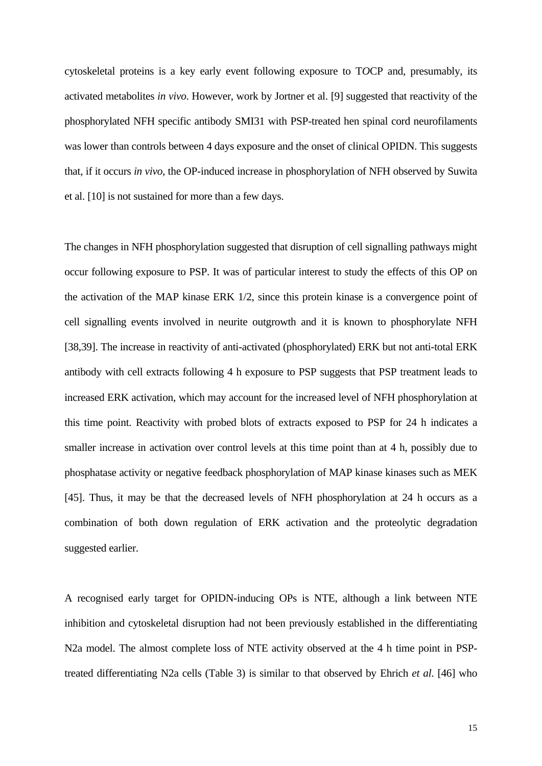cytoskeletal proteins is a key early event following exposure to T*O*CP and, presumably, its activated metabolites *in vivo*. However, work by Jortner et al. [9] suggested that reactivity of the phosphorylated NFH specific antibody SMI31 with PSP-treated hen spinal cord neurofilaments was lower than controls between 4 days exposure and the onset of clinical OPIDN. This suggests that, if it occurs *in vivo*, the OP-induced increase in phosphorylation of NFH observed by Suwita et al. [10] is not sustained for more than a few days.

The changes in NFH phosphorylation suggested that disruption of cell signalling pathways might occur following exposure to PSP. It was of particular interest to study the effects of this OP on the activation of the MAP kinase ERK 1/2, since this protein kinase is a convergence point of cell signalling events involved in neurite outgrowth and it is known to phosphorylate NFH [38,39]. The increase in reactivity of anti-activated (phosphorylated) ERK but not anti-total ERK antibody with cell extracts following 4 h exposure to PSP suggests that PSP treatment leads to increased ERK activation, which may account for the increased level of NFH phosphorylation at this time point. Reactivity with probed blots of extracts exposed to PSP for 24 h indicates a smaller increase in activation over control levels at this time point than at 4 h, possibly due to phosphatase activity or negative feedback phosphorylation of MAP kinase kinases such as MEK [45]. Thus, it may be that the decreased levels of NFH phosphorylation at 24 h occurs as a combination of both down regulation of ERK activation and the proteolytic degradation suggested earlier.

A recognised early target for OPIDN-inducing OPs is NTE, although a link between NTE inhibition and cytoskeletal disruption had not been previously established in the differentiating N2a model. The almost complete loss of NTE activity observed at the 4 h time point in PSPtreated differentiating N2a cells (Table 3) is similar to that observed by Ehrich *et al*. [46] who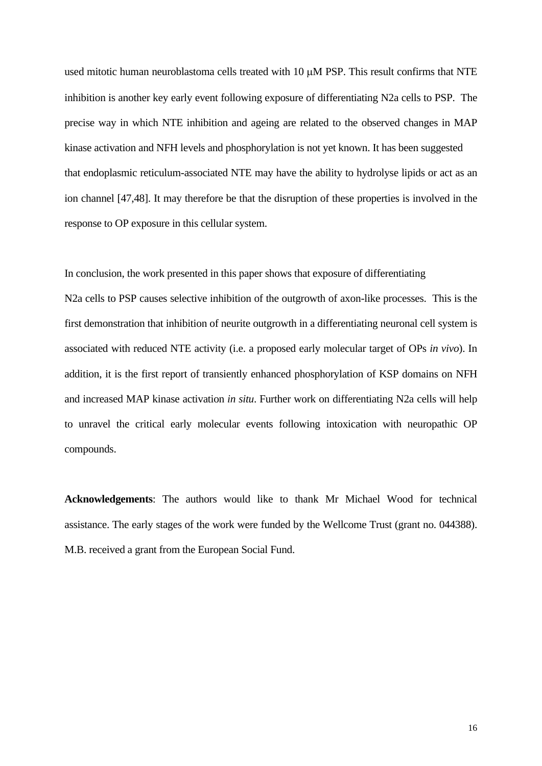used mitotic human neuroblastoma cells treated with 10 μM PSP. This result confirms that NTE inhibition is another key early event following exposure of differentiating N2a cells to PSP. The precise way in which NTE inhibition and ageing are related to the observed changes in MAP kinase activation and NFH levels and phosphorylation is not yet known. It has been suggested that endoplasmic reticulum-associated NTE may have the ability to hydrolyse lipids or act as an ion channel [47,48]. It may therefore be that the disruption of these properties is involved in the response to OP exposure in this cellular system.

In conclusion, the work presented in this paper shows that exposure of differentiating

N2a cells to PSP causes selective inhibition of the outgrowth of axon-like processes. This is the first demonstration that inhibition of neurite outgrowth in a differentiating neuronal cell system is associated with reduced NTE activity (i.e. a proposed early molecular target of OPs *in vivo*). In addition, it is the first report of transiently enhanced phosphorylation of KSP domains on NFH and increased MAP kinase activation *in situ*. Further work on differentiating N2a cells will help to unravel the critical early molecular events following intoxication with neuropathic OP compounds.

**Acknowledgements**: The authors would like to thank Mr Michael Wood for technical assistance. The early stages of the work were funded by the Wellcome Trust (grant no. 044388). M.B. received a grant from the European Social Fund.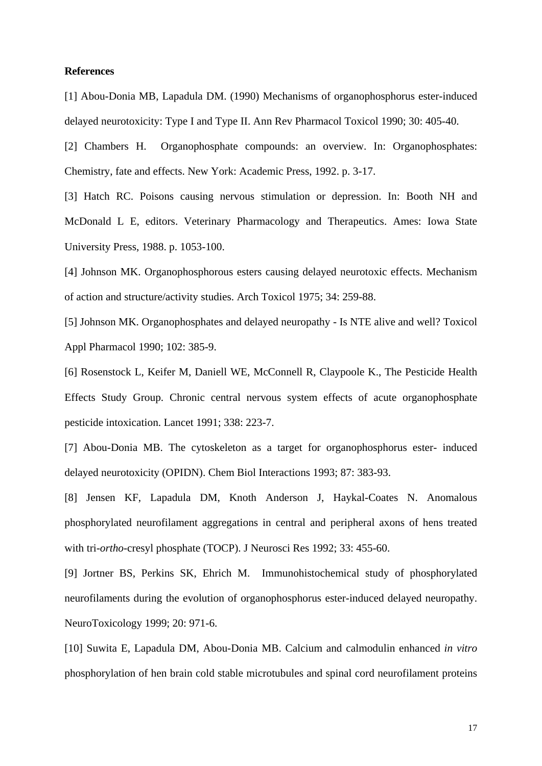### **References**

[1] Abou-Donia MB, Lapadula DM. (1990) Mechanisms of organophosphorus ester-induced delayed neurotoxicity: Type I and Type II. Ann Rev Pharmacol Toxicol 1990; 30: 405-40.

[2] Chambers H. Organophosphate compounds: an overview. In: Organophosphates: Chemistry, fate and effects. New York: Academic Press, 1992. p. 3-17.

[3] Hatch RC. Poisons causing nervous stimulation or depression. In: Booth NH and McDonald L E, editors. Veterinary Pharmacology and Therapeutics. Ames: Iowa State University Press, 1988. p. 1053-100.

[4] Johnson MK. Organophosphorous esters causing delayed neurotoxic effects. Mechanism of action and structure/activity studies. Arch Toxicol 1975; 34: 259-88.

[5] Johnson MK. Organophosphates and delayed neuropathy - Is NTE alive and well? Toxicol Appl Pharmacol 1990; 102: 385-9.

[6] Rosenstock L, Keifer M, Daniell WE, McConnell R, Claypoole K., The Pesticide Health Effects Study Group. Chronic central nervous system effects of acute organophosphate pesticide intoxication. Lancet 1991; 338: 223-7.

[7] Abou-Donia MB. The cytoskeleton as a target for organophosphorus ester- induced delayed neurotoxicity (OPIDN). Chem Biol Interactions 1993; 87: 383-93.

[8] Jensen KF, Lapadula DM, Knoth Anderson J, Haykal-Coates N. Anomalous phosphorylated neurofilament aggregations in central and peripheral axons of hens treated with tri-*ortho*-cresyl phosphate (TOCP). J Neurosci Res 1992; 33: 455-60.

[9] Jortner BS, Perkins SK, Ehrich M. Immunohistochemical study of phosphorylated neurofilaments during the evolution of organophosphorus ester-induced delayed neuropathy. NeuroToxicology 1999; 20: 971-6.

[10] Suwita E, Lapadula DM, Abou-Donia MB. Calcium and calmodulin enhanced *in vitro* phosphorylation of hen brain cold stable microtubules and spinal cord neurofilament proteins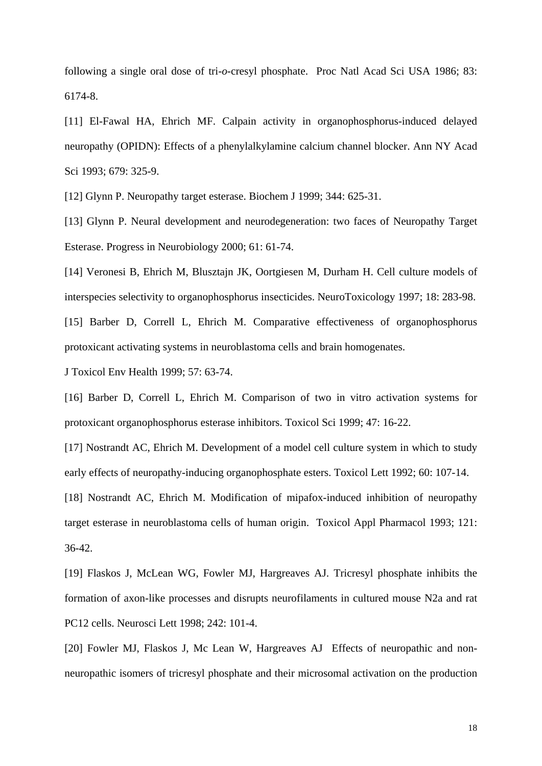following a single oral dose of tri-*o*-cresyl phosphate. Proc Natl Acad Sci USA 1986; 83: 6174-8.

[11] El-Fawal HA, Ehrich MF. Calpain activity in organophosphorus-induced delayed neuropathy (OPIDN): Effects of a phenylalkylamine calcium channel blocker. Ann NY Acad Sci 1993; 679: 325-9.

[12] Glynn P. Neuropathy target esterase. Biochem J 1999; 344: 625-31.

[13] Glynn P. Neural development and neurodegeneration: two faces of Neuropathy Target Esterase. Progress in Neurobiology 2000; 61: 61-74.

[14] Veronesi B, Ehrich M, Blusztajn JK, Oortgiesen M, Durham H. Cell culture models of interspecies selectivity to organophosphorus insecticides. NeuroToxicology 1997; 18: 283-98. [15] Barber D, Correll L, Ehrich M. Comparative effectiveness of organophosphorus

protoxicant activating systems in neuroblastoma cells and brain homogenates.

J Toxicol Env Health 1999; 57: 63-74.

[16] Barber D, Correll L, Ehrich M. Comparison of two in vitro activation systems for protoxicant organophosphorus esterase inhibitors. Toxicol Sci 1999; 47: 16-22.

[17] Nostrandt AC, Ehrich M. Development of a model cell culture system in which to study early effects of neuropathy-inducing organophosphate esters. Toxicol Lett 1992; 60: 107-14.

[18] Nostrandt AC, Ehrich M. Modification of mipafox-induced inhibition of neuropathy target esterase in neuroblastoma cells of human origin. Toxicol Appl Pharmacol 1993; 121: 36-42.

[19] Flaskos J, McLean WG, Fowler MJ, Hargreaves AJ. Tricresyl phosphate inhibits the formation of axon-like processes and disrupts neurofilaments in cultured mouse N2a and rat PC12 cells. Neurosci Lett 1998; 242: 101-4.

[20] Fowler MJ, Flaskos J, Mc Lean W, Hargreaves AJ Effects of neuropathic and nonneuropathic isomers of tricresyl phosphate and their microsomal activation on the production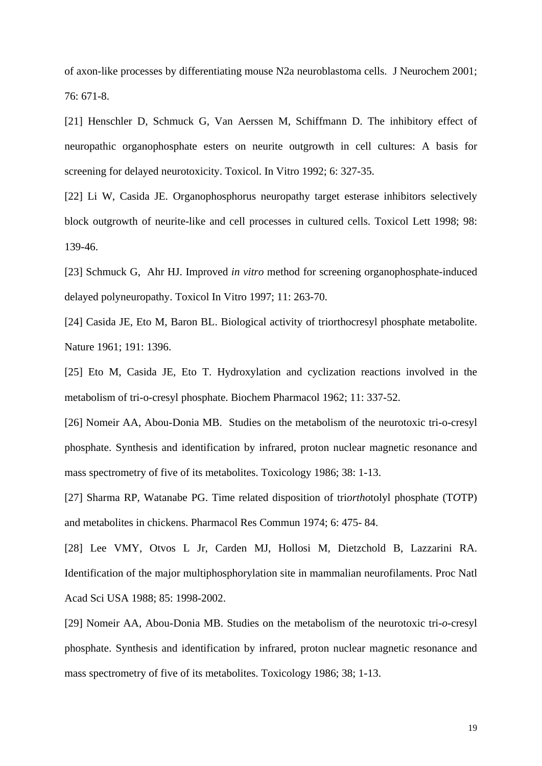of axon-like processes by differentiating mouse N2a neuroblastoma cells. J Neurochem 2001; 76: 671-8.

[21] Henschler D, Schmuck G, Van Aerssen M, Schiffmann D. The inhibitory effect of neuropathic organophosphate esters on neurite outgrowth in cell cultures: A basis for screening for delayed neurotoxicity. Toxicol. In Vitro 1992; 6: 327-35.

[22] Li W, Casida JE. Organophosphorus neuropathy target esterase inhibitors selectively block outgrowth of neurite-like and cell processes in cultured cells. Toxicol Lett 1998; 98: 139-46.

[23] Schmuck G, Ahr HJ. Improved *in vitro* method for screening organophosphate-induced delayed polyneuropathy. Toxicol In Vitro 1997; 11: 263-70.

[24] Casida JE, Eto M, Baron BL. Biological activity of triorthocresyl phosphate metabolite. Nature 1961; 191: 1396.

[25] Eto M, Casida JE, Eto T. Hydroxylation and cyclization reactions involved in the metabolism of tri-o-cresyl phosphate. Biochem Pharmacol 1962; 11: 337-52.

[26] Nomeir AA, Abou-Donia MB. Studies on the metabolism of the neurotoxic tri-o-cresyl phosphate. Synthesis and identification by infrared, proton nuclear magnetic resonance and mass spectrometry of five of its metabolites. Toxicology 1986; 38: 1-13.

[27] Sharma RP, Watanabe PG. Time related disposition of tri*ortho*tolyl phosphate (T*O*TP) and metabolites in chickens. Pharmacol Res Commun 1974; 6: 475- 84.

[28] Lee VMY, Otvos L Jr, Carden MJ, Hollosi M, Dietzchold B, Lazzarini RA. Identification of the major multiphosphorylation site in mammalian neurofilaments. Proc Natl Acad Sci USA 1988; 85: 1998-2002.

[29] Nomeir AA, Abou-Donia MB. Studies on the metabolism of the neurotoxic tri-*o*-cresyl phosphate. Synthesis and identification by infrared, proton nuclear magnetic resonance and mass spectrometry of five of its metabolites. Toxicology 1986; 38; 1-13.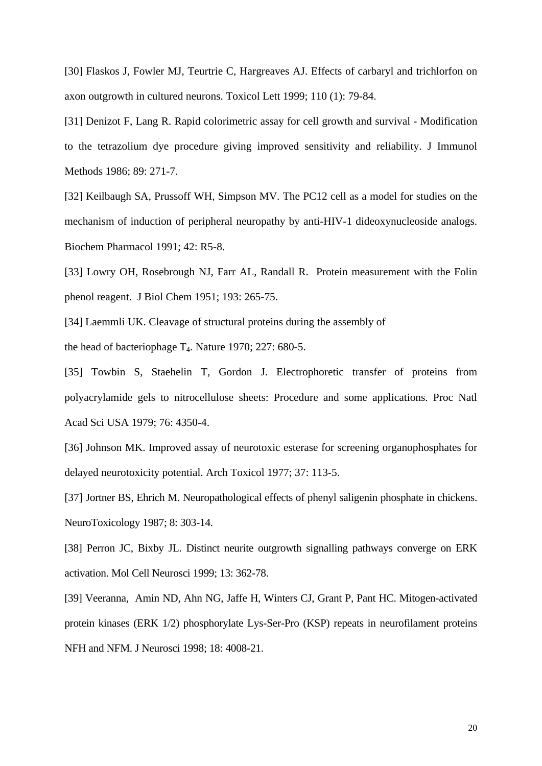[30] Flaskos J, Fowler MJ, Teurtrie C, Hargreaves AJ. Effects of carbaryl and trichlorfon on axon outgrowth in cultured neurons. Toxicol Lett 1999; 110 (1): 79-84.

[31] Denizot F, Lang R. Rapid colorimetric assay for cell growth and survival - Modification to the tetrazolium dye procedure giving improved sensitivity and reliability. J Immunol Methods 1986; 89: 271-7.

[32] Keilbaugh SA, Prussoff WH, Simpson MV. The PC12 cell as a model for studies on the mechanism of induction of peripheral neuropathy by anti-HIV-1 dideoxynucleoside analogs. Biochem Pharmacol 1991; 42: R5-8.

[33] Lowry OH, Rosebrough NJ, Farr AL, Randall R. Protein measurement with the Folin phenol reagent. J Biol Chem 1951; 193: 265-75.

[34] Laemmli UK. Cleavage of structural proteins during the assembly of the head of bacteriophage  $T_4$ . Nature 1970; 227: 680-5.

[35] Towbin S, Staehelin T, Gordon J. Electrophoretic transfer of proteins from polyacrylamide gels to nitrocellulose sheets: Procedure and some applications. Proc Natl Acad Sci USA 1979; 76: 4350-4.

[36] Johnson MK. Improved assay of neurotoxic esterase for screening organophosphates for delayed neurotoxicity potential. Arch Toxicol 1977; 37: 113-5.

[37] Jortner BS, Ehrich M. Neuropathological effects of phenyl saligenin phosphate in chickens. NeuroToxicology 1987; 8: 303-14.

[38] Perron JC, Bixby JL. Distinct neurite outgrowth signalling pathways converge on ERK activation. Mol Cell Neurosci 1999; 13: 362-78.

[39] Veeranna, Amin ND, Ahn NG, Jaffe H, Winters CJ, Grant P, Pant HC. Mitogen-activated protein kinases (ERK 1/2) phosphorylate Lys-Ser-Pro (KSP) repeats in neurofilament proteins NFH and NFM. J Neurosci 1998; 18: 4008-21.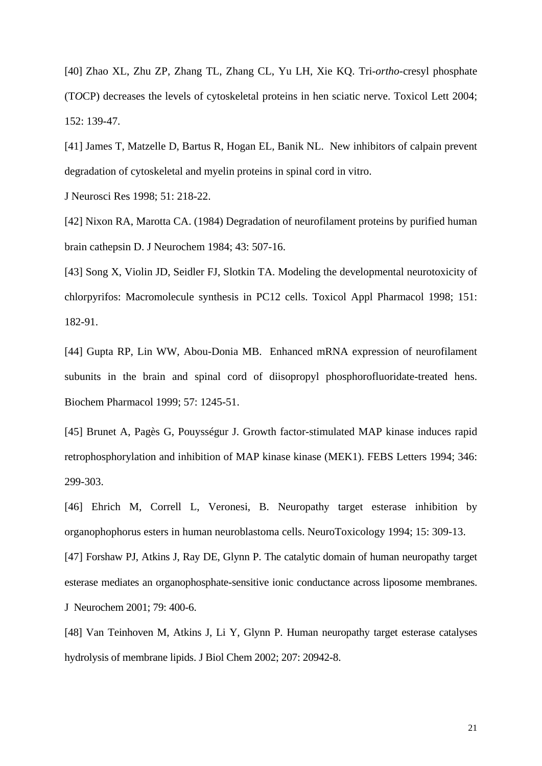[40] Zhao XL, Zhu ZP, Zhang TL, Zhang CL, Yu LH, Xie KQ. Tri-*ortho*-cresyl phosphate (T*O*CP) decreases the levels of cytoskeletal proteins in hen sciatic nerve. Toxicol Lett 2004; 152: 139-47.

[41] James T, Matzelle D, Bartus R, Hogan EL, Banik NL. New inhibitors of calpain prevent degradation of cytoskeletal and myelin proteins in spinal cord in vitro.

J Neurosci Res 1998; 51: 218-22.

[42] Nixon RA, Marotta CA. (1984) Degradation of neurofilament proteins by purified human brain cathepsin D. J Neurochem 1984; 43: 507-16.

[43] Song X, Violin JD, Seidler FJ, Slotkin TA. Modeling the developmental neurotoxicity of chlorpyrifos: Macromolecule synthesis in PC12 cells. Toxicol Appl Pharmacol 1998; 151: 182-91.

[44] Gupta RP, Lin WW, Abou-Donia MB. Enhanced mRNA expression of neurofilament subunits in the brain and spinal cord of diisopropyl phosphorofluoridate-treated hens. Biochem Pharmacol 1999; 57: 1245-51.

[45] Brunet A, Pagès G, Pouysségur J. Growth factor-stimulated MAP kinase induces rapid retrophosphorylation and inhibition of MAP kinase kinase (MEK1). FEBS Letters 1994; 346: 299-303.

[46] Ehrich M, Correll L, Veronesi, B. Neuropathy target esterase inhibition by organophophorus esters in human neuroblastoma cells. NeuroToxicology 1994; 15: 309-13.

[47] Forshaw PJ, Atkins J, Ray DE, Glynn P. The catalytic domain of human neuropathy target esterase mediates an organophosphate-sensitive ionic conductance across liposome membranes. J Neurochem 2001; 79: 400-6.

[48] Van Teinhoven M, Atkins J, Li Y, Glynn P. Human neuropathy target esterase catalyses hydrolysis of membrane lipids. J Biol Chem 2002; 207: 20942-8.

21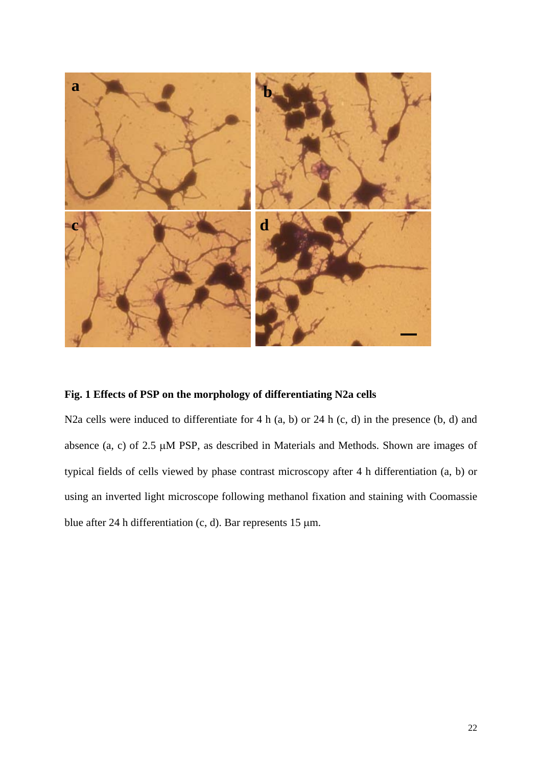

# **Fig. 1 Effects of PSP on the morphology of differentiating N2a cells**

N2a cells were induced to differentiate for 4 h (a, b) or 24 h (c, d) in the presence (b, d) and absence (a, c) of 2.5 μM PSP, as described in Materials and Methods. Shown are images of typical fields of cells viewed by phase contrast microscopy after 4 h differentiation (a, b) or using an inverted light microscope following methanol fixation and staining with Coomassie blue after 24 h differentiation (c, d). Bar represents 15 μm.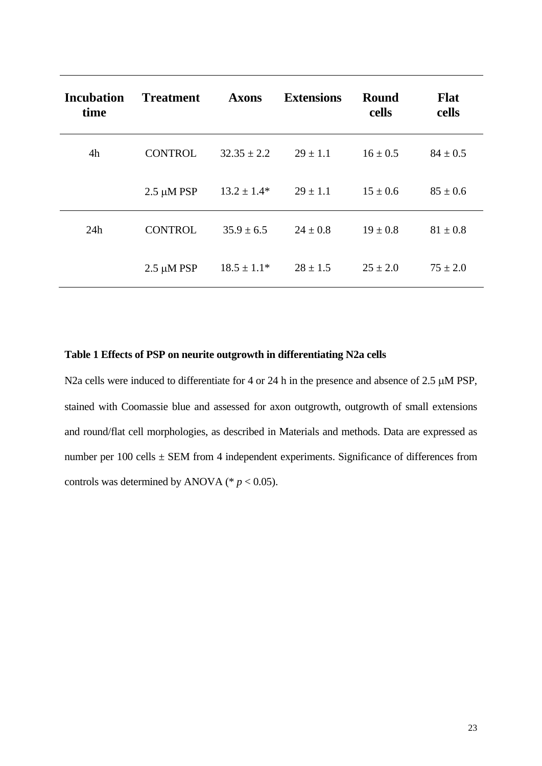| <b>Incubation</b><br>time | <b>Treatment</b> | <b>Axons</b>    | <b>Extensions</b> | <b>Round</b><br>cells | <b>Flat</b><br>cells |
|---------------------------|------------------|-----------------|-------------------|-----------------------|----------------------|
| 4h                        | <b>CONTROL</b>   | $32.35 \pm 2.2$ | $29 \pm 1.1$      | $16 \pm 0.5$          | $84 \pm 0.5$         |
|                           | $2.5 \mu M$ PSP  | $13.2 \pm 1.4*$ | $29 \pm 1.1$      | $15 \pm 0.6$          | $85 \pm 0.6$         |
| 24h                       | <b>CONTROL</b>   | $35.9 \pm 6.5$  | $24 \pm 0.8$      | $19 \pm 0.8$          | $81 \pm 0.8$         |
|                           | $2.5 \mu M$ PSP  | $18.5 \pm 1.1*$ | $28 \pm 1.5$      | $25 \pm 2.0$          | $75 \pm 2.0$         |

## **Table 1 Effects of PSP on neurite outgrowth in differentiating N2a cells**

N2a cells were induced to differentiate for 4 or 24 h in the presence and absence of 2.5 μM PSP, stained with Coomassie blue and assessed for axon outgrowth, outgrowth of small extensions and round/flat cell morphologies, as described in Materials and methods. Data are expressed as number per 100 cells  $\pm$  SEM from 4 independent experiments. Significance of differences from controls was determined by ANOVA ( $p < 0.05$ ).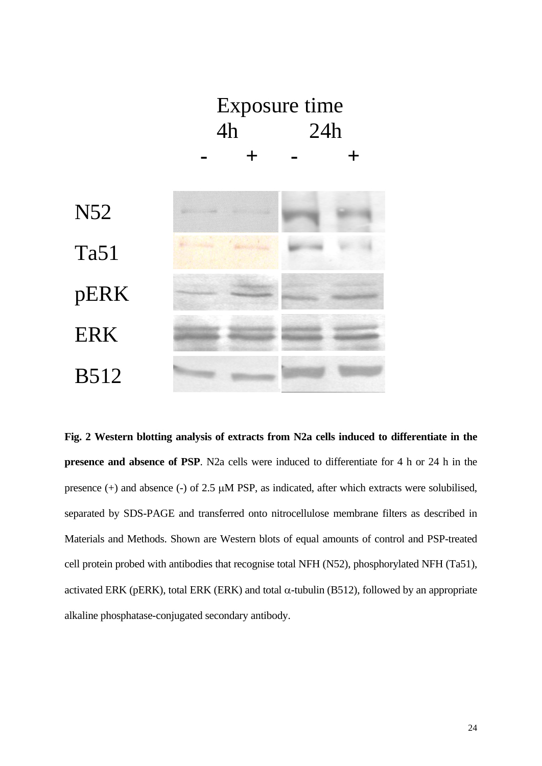

**Fig. 2 Western blotting analysis of extracts from N2a cells induced to differentiate in the presence and absence of PSP**. N2a cells were induced to differentiate for 4 h or 24 h in the presence (+) and absence (-) of 2.5 μM PSP, as indicated, after which extracts were solubilised, separated by SDS-PAGE and transferred onto nitrocellulose membrane filters as described in Materials and Methods. Shown are Western blots of equal amounts of control and PSP-treated cell protein probed with antibodies that recognise total NFH (N52), phosphorylated NFH (Ta51), activated ERK (pERK), total ERK (ERK) and total  $\alpha$ -tubulin (B512), followed by an appropriate alkaline phosphatase-conjugated secondary antibody.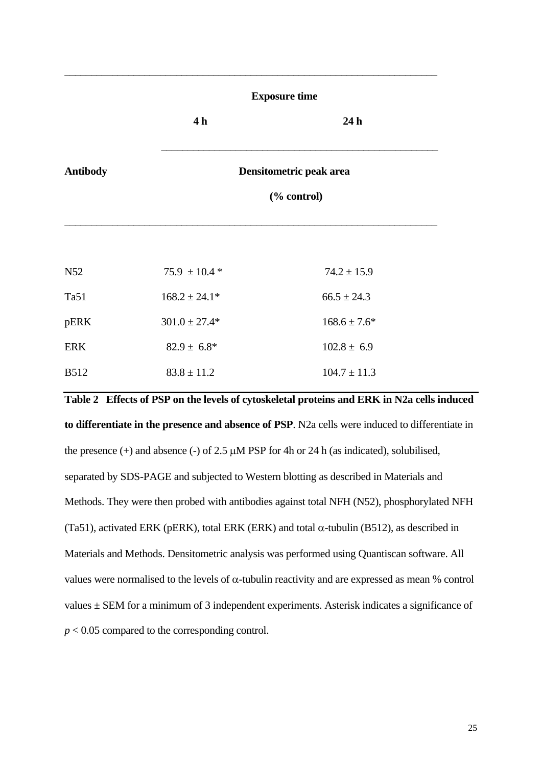|                 |                   | <b>Exposure time</b>    |  |  |  |  |
|-----------------|-------------------|-------------------------|--|--|--|--|
|                 | 4 h               | 24h                     |  |  |  |  |
| <b>Antibody</b> |                   | Densitometric peak area |  |  |  |  |
|                 |                   | (% control)             |  |  |  |  |
|                 |                   |                         |  |  |  |  |
| N52             | $75.9 \pm 10.4*$  | $74.2 \pm 15.9$         |  |  |  |  |
| Ta51            | $168.2 \pm 24.1*$ | $66.5 \pm 24.3$         |  |  |  |  |
| pERK            | $301.0 \pm 27.4*$ | $168.6 \pm 7.6^*$       |  |  |  |  |
| <b>ERK</b>      | $82.9 \pm 6.8^*$  | $102.8 \pm 6.9$         |  |  |  |  |
| <b>B512</b>     | $83.8 \pm 11.2$   | $104.7 \pm 11.3$        |  |  |  |  |

 $\_$  , and the set of the set of the set of the set of the set of the set of the set of the set of the set of the set of the set of the set of the set of the set of the set of the set of the set of the set of the set of th

**Table 2 Effects of PSP on the levels of cytoskeletal proteins and ERK in N2a cells induced to differentiate in the presence and absence of PSP**. N2a cells were induced to differentiate in the presence  $(+)$  and absence  $(-)$  of 2.5  $\mu$ M PSP for 4h or 24 h (as indicated), solubilised, separated by SDS-PAGE and subjected to Western blotting as described in Materials and Methods. They were then probed with antibodies against total NFH (N52), phosphorylated NFH (Ta51), activated ERK (pERK), total ERK (ERK) and total  $\alpha$ -tubulin (B512), as described in Materials and Methods. Densitometric analysis was performed using Quantiscan software. All values were normalised to the levels of α-tubulin reactivity and are expressed as mean % control values  $\pm$  SEM for a minimum of 3 independent experiments. Asterisk indicates a significance of *p* < 0.05 compared to the corresponding control.